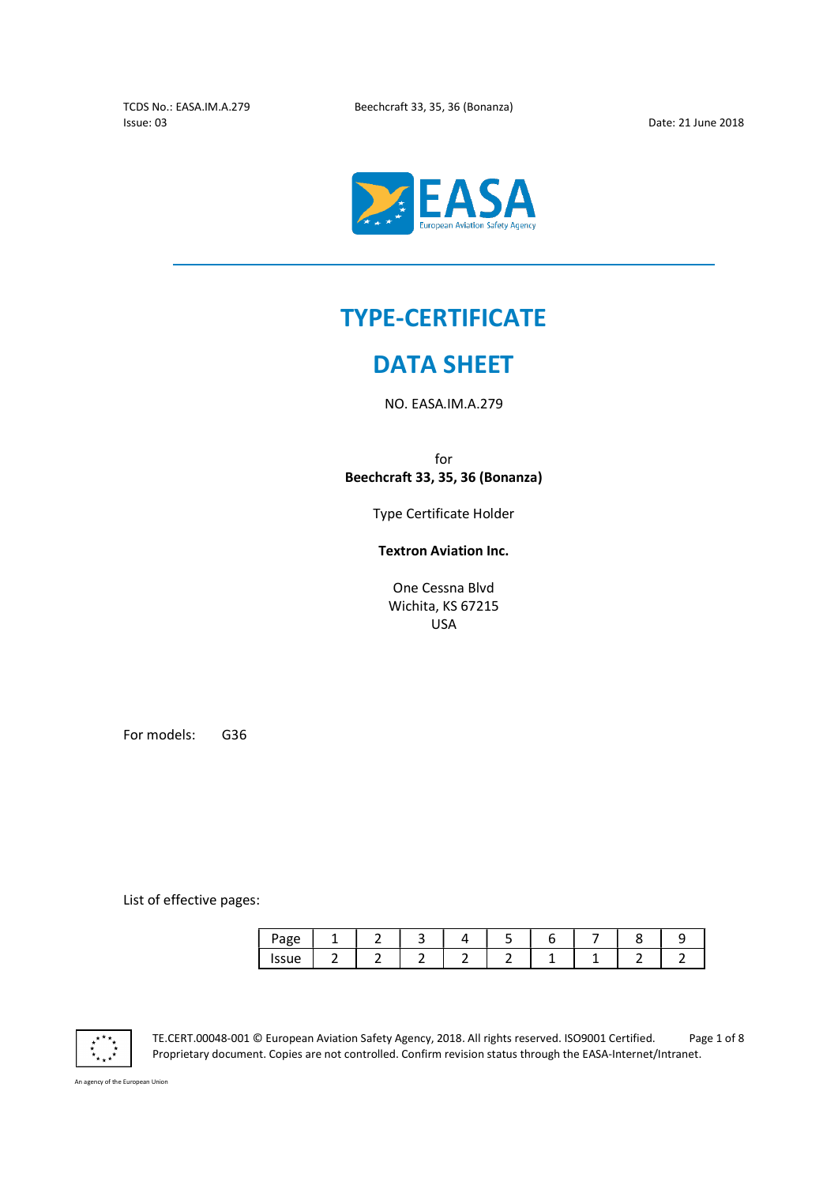$\overline{a}$ 



# TYPE-CERTIFICATE

# DATA SHEET

NO. EASA.IM.A.279

for Beechcraft 33, 35, 36 (Bonanza)

Type Certificate Holder

Textron Aviation Inc.

One Cessna Blvd Wichita, KS 67215 USA

For models: G36

List of effective pages:

| Page           |  |  |  |  |  |
|----------------|--|--|--|--|--|
| פכוום<br>סטכנו |  |  |  |  |  |



TE.CERT.00048-001 © European Aviation Safety Agency, 2018. All rights reserved. ISO9001 Certified. Page 1 of 8 Proprietary document. Copies are not controlled. Confirm revision status through the EASA-Internet/Intranet.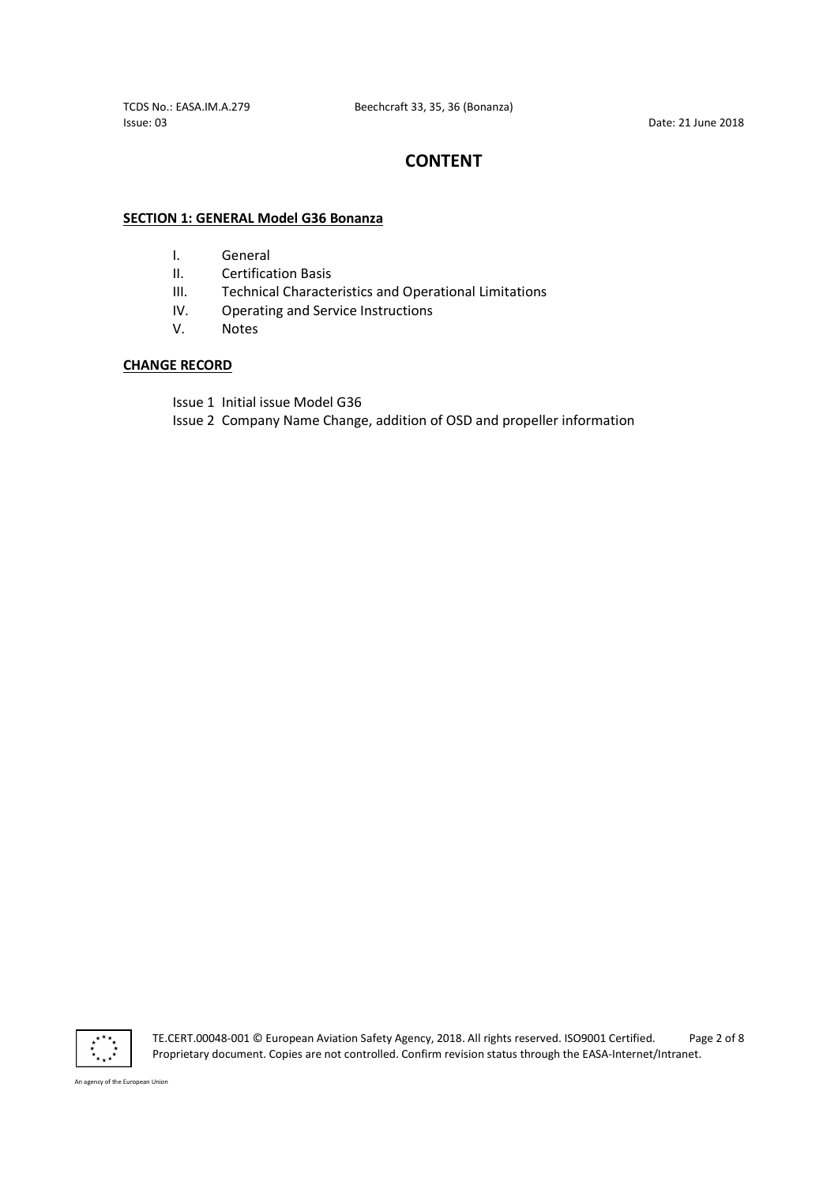# CONTENT

#### SECTION 1: GENERAL Model G36 Bonanza

- I. General
- II. Certification Basis
- III. Technical Characteristics and Operational Limitations
- IV. Operating and Service Instructions
- V. Notes

### CHANGE RECORD

Issue 1 Initial issue Model G36

Issue 2 Company Name Change, addition of OSD and propeller information



TE.CERT.00048-001 © European Aviation Safety Agency, 2018. All rights reserved. ISO9001 Certified. Page 2 of 8 Proprietary document. Copies are not controlled. Confirm revision status through the EASA-Internet/Intranet.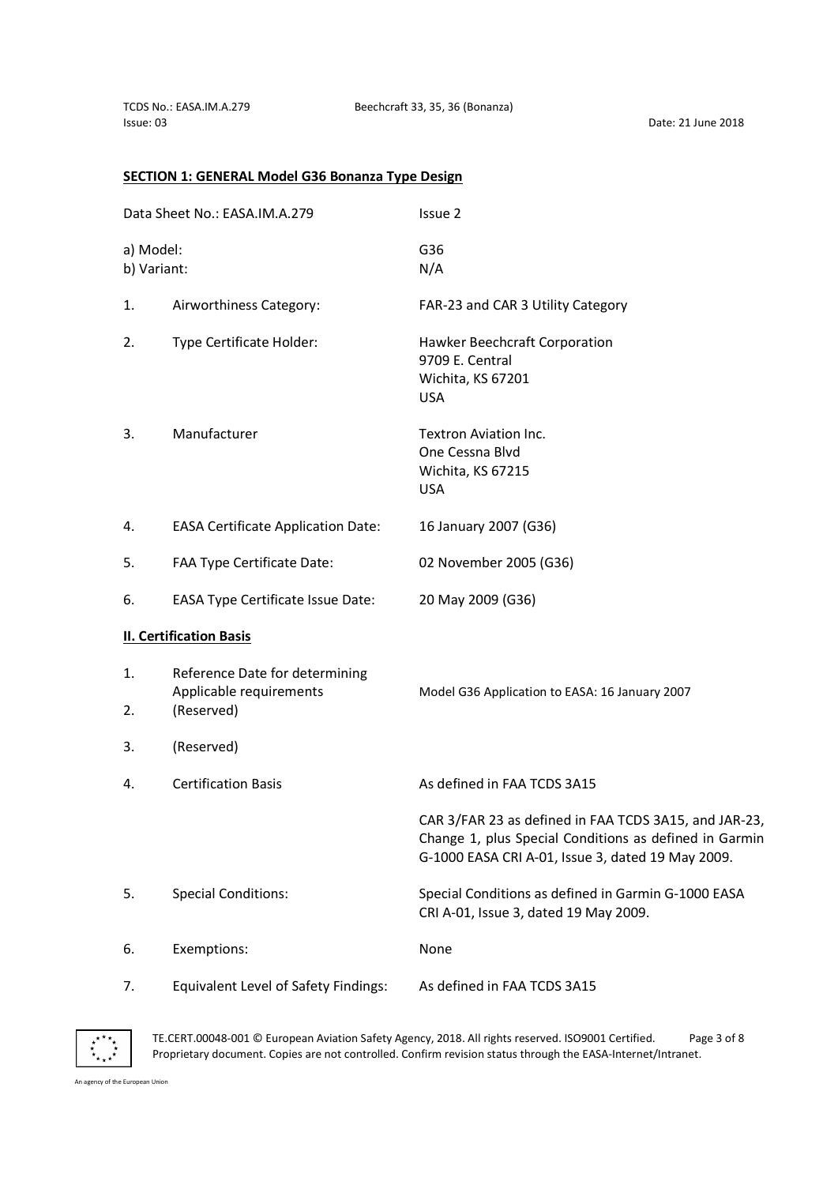## SECTION 1: GENERAL Model G36 Bonanza Type Design

| Data Sheet No.: EASA.IM.A.279 |                                                                         | Issue 2<br>G36<br>N/A                                                                                                                                                |  |  |
|-------------------------------|-------------------------------------------------------------------------|----------------------------------------------------------------------------------------------------------------------------------------------------------------------|--|--|
| a) Model:<br>b) Variant:      |                                                                         |                                                                                                                                                                      |  |  |
| 1.                            | Airworthiness Category:                                                 | FAR-23 and CAR 3 Utility Category                                                                                                                                    |  |  |
| 2.                            | Type Certificate Holder:                                                | Hawker Beechcraft Corporation<br>9709 E. Central<br>Wichita, KS 67201<br><b>USA</b>                                                                                  |  |  |
| 3.                            | Manufacturer                                                            | Textron Aviation Inc.<br>One Cessna Blvd<br>Wichita, KS 67215<br><b>USA</b>                                                                                          |  |  |
| 4.                            | <b>EASA Certificate Application Date:</b>                               | 16 January 2007 (G36)                                                                                                                                                |  |  |
| 5.                            | FAA Type Certificate Date:                                              | 02 November 2005 (G36)                                                                                                                                               |  |  |
| 6.                            | <b>EASA Type Certificate Issue Date:</b>                                | 20 May 2009 (G36)                                                                                                                                                    |  |  |
|                               | <b>II. Certification Basis</b>                                          |                                                                                                                                                                      |  |  |
| 1.<br>2.                      | Reference Date for determining<br>Applicable requirements<br>(Reserved) | Model G36 Application to EASA: 16 January 2007                                                                                                                       |  |  |
| 3.                            | (Reserved)                                                              |                                                                                                                                                                      |  |  |
| 4.                            | <b>Certification Basis</b>                                              | As defined in FAA TCDS 3A15                                                                                                                                          |  |  |
|                               |                                                                         | CAR 3/FAR 23 as defined in FAA TCDS 3A15, and JAR-23,<br>Change 1, plus Special Conditions as defined in Garmin<br>G-1000 EASA CRI A-01, Issue 3, dated 19 May 2009. |  |  |
| 5.                            | <b>Special Conditions:</b>                                              | Special Conditions as defined in Garmin G-1000 EASA<br>CRI A-01, Issue 3, dated 19 May 2009.                                                                         |  |  |
| 6.                            | Exemptions:                                                             | None                                                                                                                                                                 |  |  |
| 7.                            | Equivalent Level of Safety Findings:                                    | As defined in FAA TCDS 3A15                                                                                                                                          |  |  |



TE.CERT.00048-001 © European Aviation Safety Agency, 2018. All rights reserved. ISO9001 Certified. Page 3 of 8 Proprietary document. Copies are not controlled. Confirm revision status through the EASA-Internet/Intranet.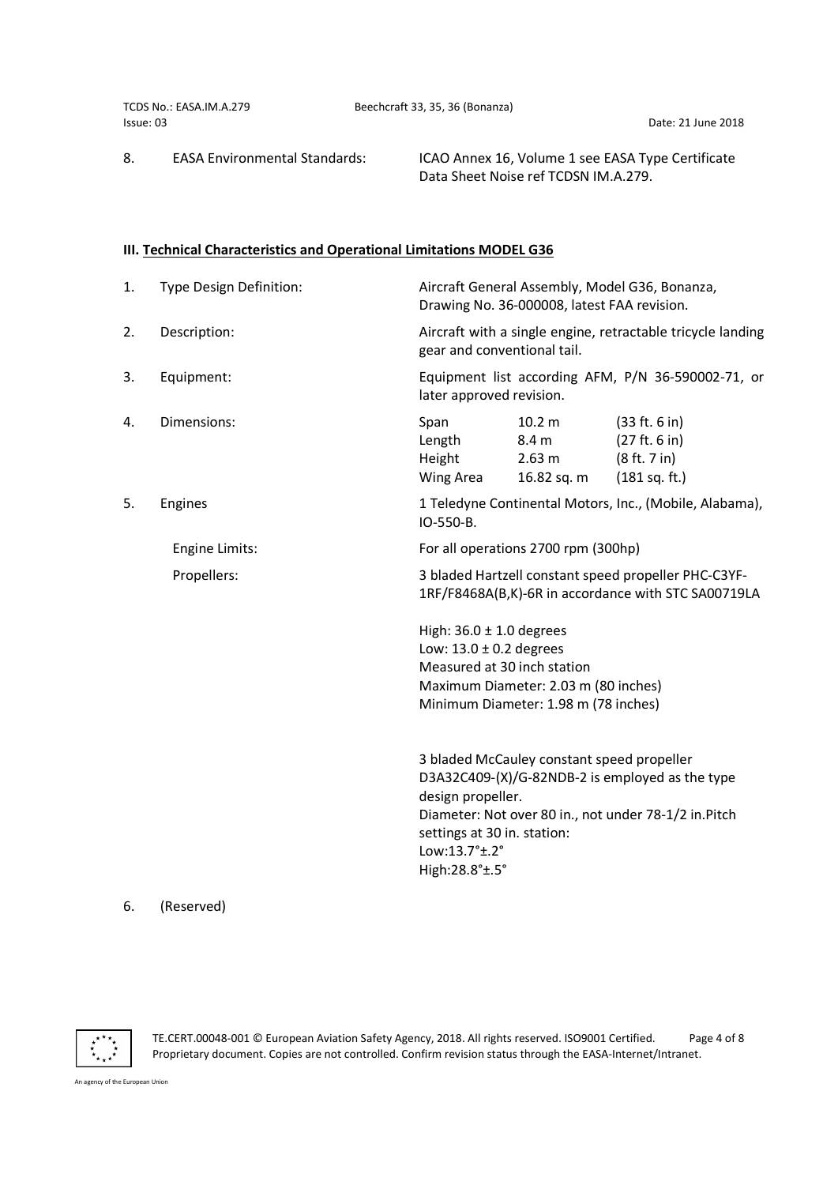|           | TCDS No.: EASA.IM.A.279              | Beechcraft 33, 35, 36 (Bonanza)                                                           |
|-----------|--------------------------------------|-------------------------------------------------------------------------------------------|
| Issue: 03 |                                      | Date: 21 June 2018                                                                        |
| 8.        | <b>EASA Environmental Standards:</b> | ICAO Annex 16, Volume 1 see EASA Type Certificate<br>Data Sheet Noise ref TCDSN IM.A.279. |

## III. Technical Characteristics and Operational Limitations MODEL G36

| 1. | Type Design Definition: | Aircraft General Assembly, Model G36, Bonanza,<br>Drawing No. 36-000008, latest FAA revision.                                                                                                                                                 |  |  |
|----|-------------------------|-----------------------------------------------------------------------------------------------------------------------------------------------------------------------------------------------------------------------------------------------|--|--|
| 2. | Description:            | Aircraft with a single engine, retractable tricycle landing<br>gear and conventional tail.                                                                                                                                                    |  |  |
| 3. | Equipment:              | Equipment list according AFM, P/N 36-590002-71, or<br>later approved revision.                                                                                                                                                                |  |  |
| 4. | Dimensions:             | 10.2 <sub>m</sub><br>(33 ft. 6 in)<br>Span<br>Length<br>(27 ft. 6 in)<br>8.4 <sub>m</sub><br>Height<br>(8 ft. 7 in)<br>2.63 m<br>Wing Area<br>(181 sq. ft.)<br>16.82 sq. m                                                                    |  |  |
| 5. | Engines                 | 1 Teledyne Continental Motors, Inc., (Mobile, Alabama),<br>IO-550-B.                                                                                                                                                                          |  |  |
|    | Engine Limits:          | For all operations 2700 rpm (300hp)                                                                                                                                                                                                           |  |  |
|    | Propellers:             | 3 bladed Hartzell constant speed propeller PHC-C3YF-<br>1RF/F8468A(B,K)-6R in accordance with STC SA00719LA                                                                                                                                   |  |  |
|    |                         | High: $36.0 \pm 1.0$ degrees<br>Low: $13.0 \pm 0.2$ degrees<br>Measured at 30 inch station<br>Maximum Diameter: 2.03 m (80 inches)<br>Minimum Diameter: 1.98 m (78 inches)                                                                    |  |  |
|    |                         | 3 bladed McCauley constant speed propeller<br>D3A32C409-(X)/G-82NDB-2 is employed as the type<br>design propeller.<br>Diameter: Not over 80 in., not under 78-1/2 in. Pitch<br>settings at 30 in. station:<br>Low:13.7°±.2°<br>High:28.8°±.5° |  |  |

# 6. (Reserved)



TE.CERT.00048-001 © European Aviation Safety Agency, 2018. All rights reserved. ISO9001 Certified. Page 4 of 8 Proprietary document. Copies are not controlled. Confirm revision status through the EASA-Internet/Intranet.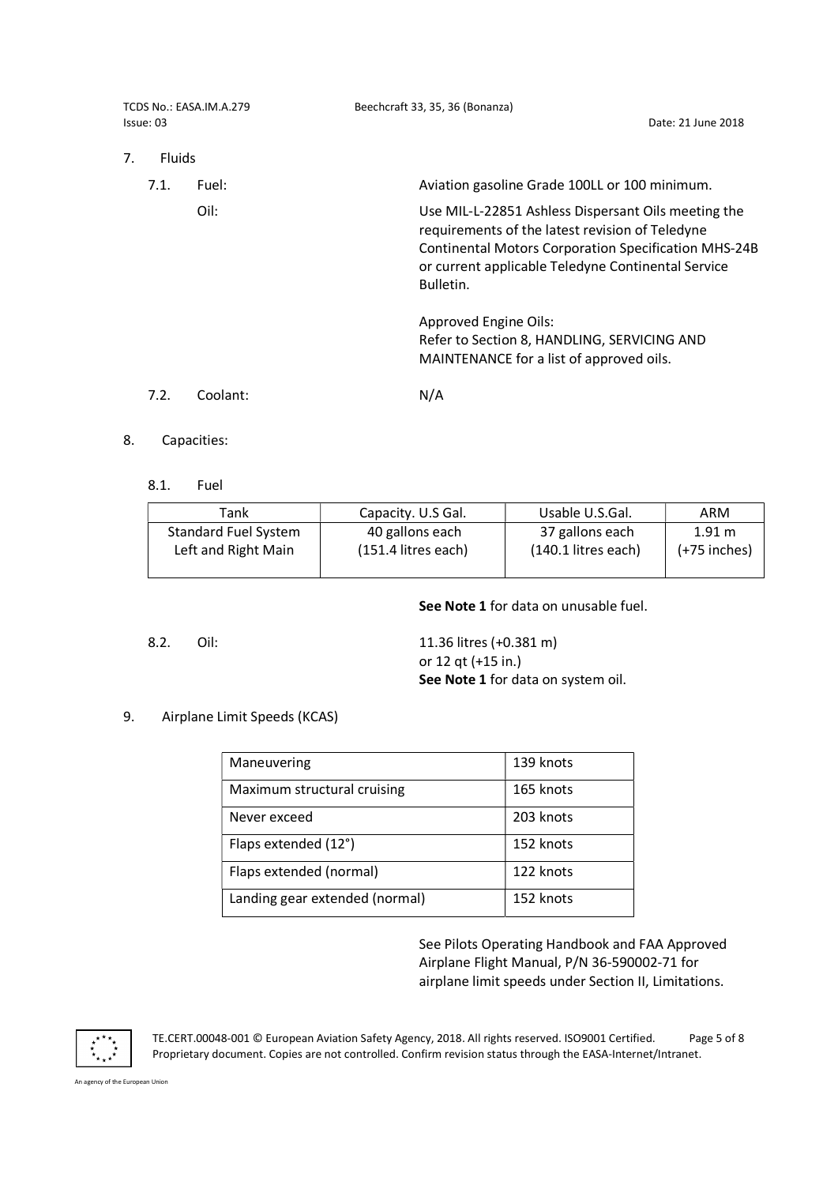| TCDS No.: EASA.IM.A.279<br>Issue: 03 |          | Beechcraft 33, 35, 36 (Bonanza)<br>Date: 21 June 2018                                                                                                                                                                                    |  |  |
|--------------------------------------|----------|------------------------------------------------------------------------------------------------------------------------------------------------------------------------------------------------------------------------------------------|--|--|
| 7.<br><b>Fluids</b>                  |          |                                                                                                                                                                                                                                          |  |  |
| 7.1.                                 | Fuel:    | Aviation gasoline Grade 100LL or 100 minimum.                                                                                                                                                                                            |  |  |
|                                      | Oil:     | Use MIL-L-22851 Ashless Dispersant Oils meeting the<br>requirements of the latest revision of Teledyne<br><b>Continental Motors Corporation Specification MHS-24B</b><br>or current applicable Teledyne Continental Service<br>Bulletin. |  |  |
|                                      |          | <b>Approved Engine Oils:</b><br>Refer to Section 8, HANDLING, SERVICING AND<br>MAINTENANCE for a list of approved oils.                                                                                                                  |  |  |
| 7.2.                                 | Coolant: | N/A                                                                                                                                                                                                                                      |  |  |

- 8. Capacities:
	- 8.1. Fuel

| Tank                        | Capacity. U.S Gal.    | Usable U.S.Gal.       | ARM            |
|-----------------------------|-----------------------|-----------------------|----------------|
| <b>Standard Fuel System</b> | 40 gallons each       | 37 gallons each       | 1.91 m         |
| Left and Right Main         | $(151.4$ litres each) | $(140.1$ litres each) | $(+75$ inches) |
|                             |                       |                       |                |

See Note 1 for data on unusable fuel.

8.2. Oil: 11.36 litres (+0.381 m) or 12 qt (+15 in.) See Note 1 for data on system oil.

## 9. Airplane Limit Speeds (KCAS)

| Maneuvering                    | 139 knots |
|--------------------------------|-----------|
| Maximum structural cruising    | 165 knots |
| Never exceed                   | 203 knots |
| Flaps extended (12°)           | 152 knots |
| Flaps extended (normal)        | 122 knots |
| Landing gear extended (normal) | 152 knots |

 See Pilots Operating Handbook and FAA Approved Airplane Flight Manual, P/N 36-590002-71 for airplane limit speeds under Section II, Limitations.



TE.CERT.00048-001 © European Aviation Safety Agency, 2018. All rights reserved. ISO9001 Certified. Page 5 of 8 Proprietary document. Copies are not controlled. Confirm revision status through the EASA-Internet/Intranet.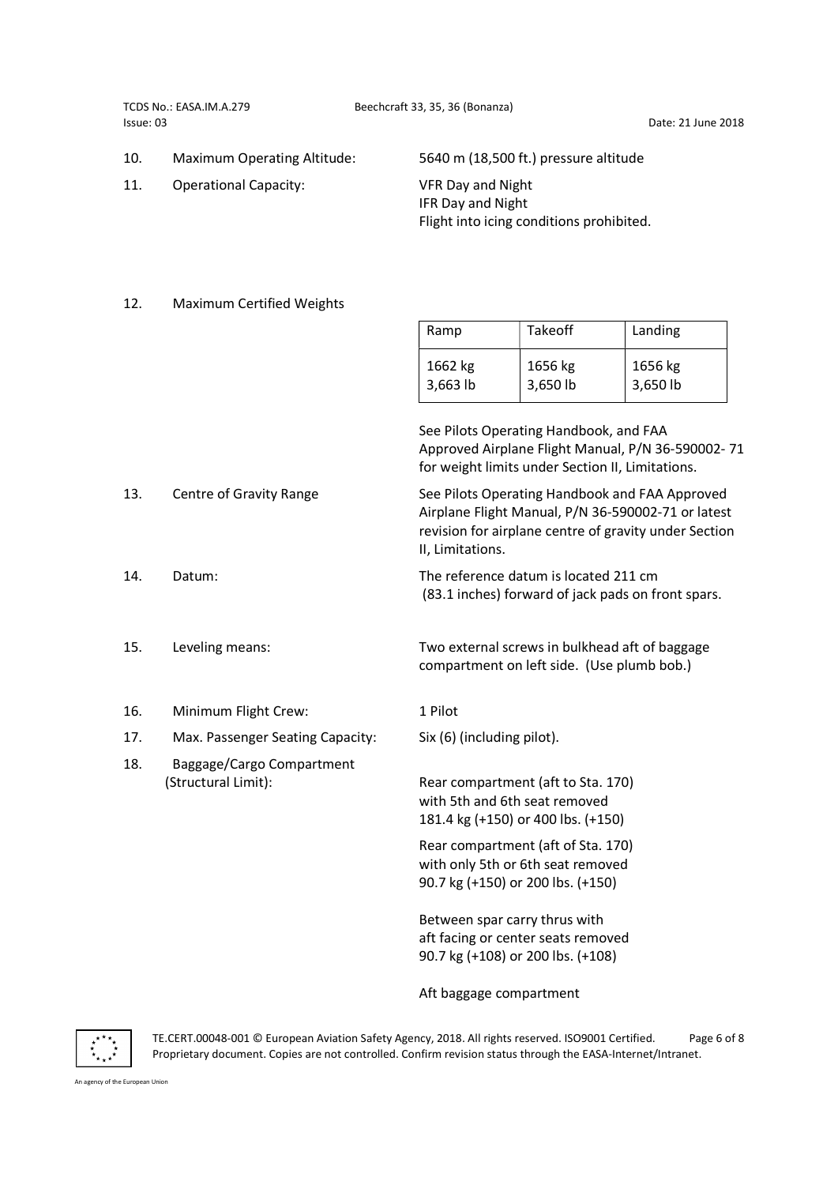- 
- 11. Operational Capacity: VFR Day and Night

10. Maximum Operating Altitude: 5640 m (18,500 ft.) pressure altitude

 IFR Day and Night Flight into icing conditions prohibited.

#### 12. Maximum Certified Weights

| Ramp     | Takeoff  | Landing    |
|----------|----------|------------|
| 1662 kg  | 1656 kg  | 1656 kg    |
| 3,663 lb | 3,650 lb | $3,650$ lb |

|     |                                                  | See Pilots Operating Handbook, and FAA<br>Approved Airplane Flight Manual, P/N 36-590002-71<br>for weight limits under Section II, Limitations.                                   |
|-----|--------------------------------------------------|-----------------------------------------------------------------------------------------------------------------------------------------------------------------------------------|
| 13. | Centre of Gravity Range                          | See Pilots Operating Handbook and FAA Approved<br>Airplane Flight Manual, P/N 36-590002-71 or latest<br>revision for airplane centre of gravity under Section<br>II, Limitations. |
| 14. | Datum:                                           | The reference datum is located 211 cm<br>(83.1 inches) forward of jack pads on front spars.                                                                                       |
| 15. | Leveling means:                                  | Two external screws in bulkhead aft of baggage<br>compartment on left side. (Use plumb bob.)                                                                                      |
| 16. | Minimum Flight Crew:                             | 1 Pilot                                                                                                                                                                           |
| 17. | Max. Passenger Seating Capacity:                 | Six (6) (including pilot).                                                                                                                                                        |
| 18. | Baggage/Cargo Compartment<br>(Structural Limit): | Rear compartment (aft to Sta. 170)<br>with 5th and 6th seat removed<br>181.4 kg (+150) or 400 lbs. (+150)                                                                         |
|     |                                                  | Rear compartment (aft of Sta. 170)<br>with only 5th or 6th seat removed<br>90.7 kg (+150) or 200 lbs. (+150)                                                                      |
|     |                                                  |                                                                                                                                                                                   |

Between spar carry thrus with aft facing or center seats removed 90.7 kg (+108) or 200 lbs. (+108)

Aft baggage compartment



TE.CERT.00048-001 © European Aviation Safety Agency, 2018. All rights reserved. ISO9001 Certified. Page 6 of 8 Proprietary document. Copies are not controlled. Confirm revision status through the EASA-Internet/Intranet.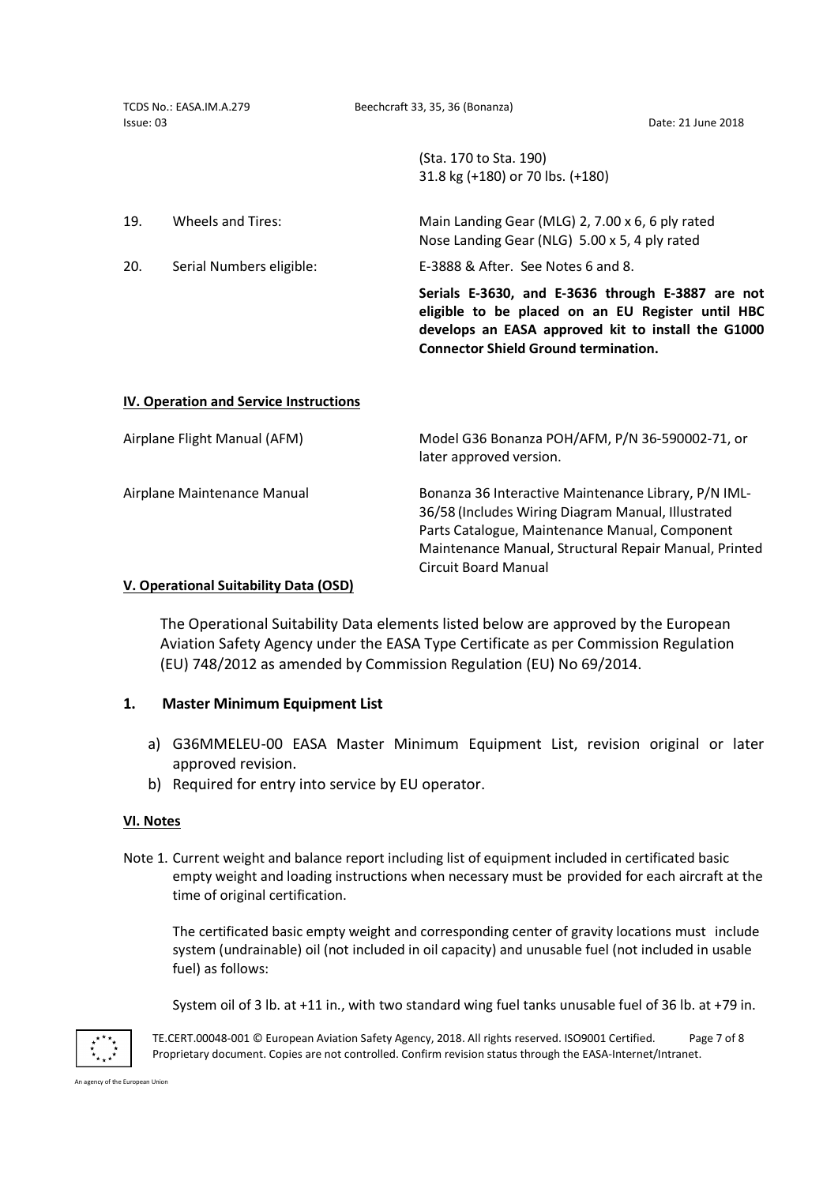| TCDS No.: EASA.IM.A.279<br>Issue: 03 |                                               | Beechcraft 33, 35, 36 (Bonanza)<br>Date: 21 June 2018                                                                                                                                                                                                |
|--------------------------------------|-----------------------------------------------|------------------------------------------------------------------------------------------------------------------------------------------------------------------------------------------------------------------------------------------------------|
|                                      |                                               | (Sta. 170 to Sta. 190)<br>31.8 kg (+180) or 70 lbs. (+180)                                                                                                                                                                                           |
| 19.                                  | Wheels and Tires:                             | Main Landing Gear (MLG) 2, 7.00 x 6, 6 ply rated<br>Nose Landing Gear (NLG) 5.00 x 5, 4 ply rated                                                                                                                                                    |
| 20.                                  | Serial Numbers eligible:                      | E-3888 & After. See Notes 6 and 8.                                                                                                                                                                                                                   |
|                                      |                                               | Serials E-3630, and E-3636 through E-3887 are not<br>eligible to be placed on an EU Register until HBC<br>develops an EASA approved kit to install the G1000<br><b>Connector Shield Ground termination.</b>                                          |
|                                      | <b>IV. Operation and Service Instructions</b> |                                                                                                                                                                                                                                                      |
|                                      | Airplane Flight Manual (AFM)                  | Model G36 Bonanza POH/AFM, P/N 36-590002-71, or<br>later approved version.                                                                                                                                                                           |
| Airplane Maintenance Manual          |                                               | Bonanza 36 Interactive Maintenance Library, P/N IML-<br>36/58 (Includes Wiring Diagram Manual, Illustrated<br>Parts Catalogue, Maintenance Manual, Component<br>Maintenance Manual, Structural Repair Manual, Printed<br><b>Circuit Board Manual</b> |

### V. Operational Suitability Data (OSD)

The Operational Suitability Data elements listed below are approved by the European Aviation Safety Agency under the EASA Type Certificate as per Commission Regulation (EU) 748/2012 as amended by Commission Regulation (EU) No 69/2014.

## 1. Master Minimum Equipment List

- a) G36MMELEU-00 EASA Master Minimum Equipment List, revision original or later approved revision.
- b) Required for entry into service by EU operator.

## VI. Notes

Note 1. Current weight and balance report including list of equipment included in certificated basic empty weight and loading instructions when necessary must be provided for each aircraft at the time of original certification.

The certificated basic empty weight and corresponding center of gravity locations must include system (undrainable) oil (not included in oil capacity) and unusable fuel (not included in usable fuel) as follows:

System oil of 3 lb. at +11 in., with two standard wing fuel tanks unusable fuel of 36 lb. at +79 in.



TE.CERT.00048-001 © European Aviation Safety Agency, 2018. All rights reserved. ISO9001 Certified. Page 7 of 8 Proprietary document. Copies are not controlled. Confirm revision status through the EASA-Internet/Intranet.